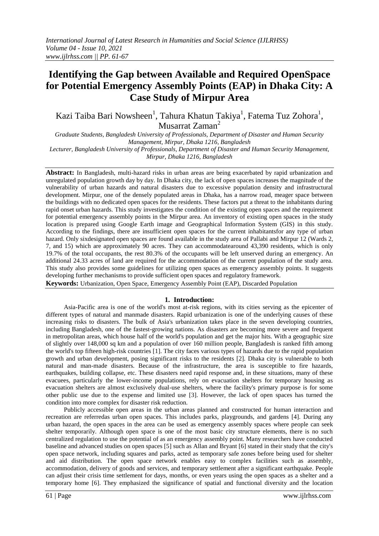# **Identifying the Gap between Available and Required OpenSpace for Potential Emergency Assembly Points (EAP) in Dhaka City: A Case Study of Mirpur Area**

Kazi Taiba Bari Nowsheen<sup>1</sup>, Tahura Khatun Takiya<sup>1</sup>, Fatema Tuz Zohora<sup>1</sup>, Musarrat Zaman<sup>2</sup>

*Graduate Students, Bangladesh University of Professionals, Department of Disaster and Human Security Management, Mirpur, Dhaka 1216, Bangladesh Lecturer, Bangladesh University of Professionals, Department of Disaster and Human Security Management, Mirpur, Dhaka 1216, Bangladesh*

**Abstract:** In Bangladesh, multi-hazard risks in urban areas are being exacerbated by rapid urbanization and unregulated population growth day by day. In Dhaka city, the lack of open spaces increases the magnitude of the vulnerability of urban hazards and natural disasters due to excessive population density and infrastructural development. Mirpur, one of the densely populated areas in Dhaka, has a narrow road, meager space between the buildings with no dedicated open spaces for the residents. These factors put a threat to the inhabitants during rapid onset urban hazards. This study investigates the condition of the existing open spaces and the requirement for potential emergency assembly points in the Mirpur area. An inventory of existing open spaces in the study location is prepared using Google Earth image and Geographical Information System (GIS) in this study. According to the findings, there are insufficient open spaces for the current inhabitantsfor any type of urban hazard. Only sixdesignated open spaces are found available in the study area of Pallabi and Mirpur 12 (Wards 2, 7, and 15) which are approximately 90 acres. They can accommodatearound 43,390 residents, which is only 19.7% of the total occupants, the rest 80.3% of the occupants will be left unserved during an emergency. An additional 24.33 acres of land are required for the accommodation of the current population of the study area. This study also provides some guidelines for utilizing open spaces as emergency assembly points. It suggests developing further mechanisms to provide sufficient open spaces and regulatory framework.

**Keywords:** Urbanization, Open Space, Emergency Assembly Point (EAP), Discarded Population

#### **1. Introduction:**

Asia-Pacific area is one of the world's most at-risk regions, with its cities serving as the epicenter of different types of natural and manmade disasters. Rapid urbanization is one of the underlying causes of these increasing risks to disasters. The bulk of Asia's urbanization takes place in the seven developing countries, including Bangladesh, one of the fastest-growing nations. As disasters are becoming more severe and frequent in metropolitan areas, which house half of the world's population and get the major hits. With a geographic size of slightly over 148,000 sq km and a population of over 160 million people, Bangladesh is ranked fifth among the world's top fifteen high-risk countries [1]. The city faces various types of hazards due to the rapid population growth and urban development, posing significant risks to the residents [2]. Dhaka city is vulnerable to both natural and man-made disasters. Because of the infrastructure, the area is susceptible to fire hazards, earthquakes, building collapse, etc. These disasters need rapid response and, in these situations, many of these evacuees, particularly the lower-income populations, rely on evacuation shelters for temporary housing as evacuation shelters are almost exclusively dual-use shelters, where the facility's primary purpose is for some other public use due to the expense and limited use [3]. However, the lack of open spaces has turned the condition into more complex for disaster risk reduction.

Publicly accessible open areas in the urban areas planned and constructed for human interaction and recreation are referredas urban open spaces. This includes parks, playgrounds, and gardens [4]. During any urban hazard, the open spaces in the area can be used as emergency assembly spaces where people can seek shelter temporarily. Although open space is one of the most basic city structure elements, there is no such centralized regulation to use the potential of as an emergency assembly point. Many researchers have conducted baseline and advanced studies on open spaces [5] such as Allan and Bryant [6] stated in their study that the city's open space network, including squares and parks, acted as temporary safe zones before being used for shelter and aid distribution. The open space network enables easy to complex facilities such as assembly, accommodation, delivery of goods and services, and temporary settlement after a significant earthquake. People can adjust their crisis time settlement for days, months, or even years using the open spaces as a shelter and a temporary home [6]. They emphasized the significance of spatial and functional diversity and the location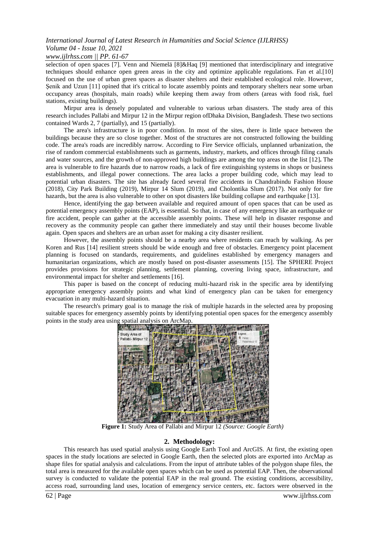# *International Journal of Latest Research in Humanities and Social Science (IJLRHSS) Volume 04 - Issue 10, 2021*

# *www.ijlrhss.com || PP. 61-67*

selection of open spaces [7]. Venn and Niemelä [8]&Haq [9] mentioned that interdisciplinary and integrative techniques should enhance open green areas in the city and optimize applicable regulations. Fan et al.[10] focused on the use of urban green spaces as disaster shelters and their established ecological role. However, Şenik and Uzun [11] opined that it's critical to locate assembly points and temporary shelters near some urban occupancy areas (hospitals, main roads) while keeping them away from others (areas with food risk, fuel stations, existing buildings).

Mirpur area is densely populated and vulnerable to various urban disasters. The study area of this research includes Pallabi and Mirpur 12 in the Mirpur region ofDhaka Division, Bangladesh. These two sections contained Wards 2, 7 (partially), and 15 (partially).

The area's infrastructure is in poor condition. In most of the sites, there is little space between the buildings because they are so close together. Most of the structures are not constructed following the building code. The area's roads are incredibly narrow. According to Fire Service officials, unplanned urbanization, the rise of random commercial establishments such as garments, industry, markets, and offices through filing canals and water sources, and the growth of non-approved high buildings are among the top areas on the list [12]**.** The area is vulnerable to fire hazards due to narrow roads, a lack of fire extinguishing systems in shops or business establishments, and illegal power connections. The area lacks a proper building code, which may lead to potential urban disasters. The site has already faced several fire accidents in Chandrabindu Fashion House (2018), City Park Building (2019), Mirpur 14 Slum (2019), and Cholontika Slum (2017). Not only for fire hazards, but the area is also vulnerable to other on spot disasters like building collapse and earthquake [13].

Hence, identifying the gap between available and required amount of open spaces that can be used as potential emergency assembly points (EAP), is essential. So that, in case of any emergency like an earthquake or fire accident, people can gather at the accessible assembly points. These will help in disaster response and recovery as the community people can gather there immediately and stay until their houses become livable again. Open spaces and shelters are an urban asset for making a city disaster resilient.

However, the assembly points should be a nearby area where residents can reach by walking. As per Koren and Rus [14] resilient streets should be wide enough and free of obstacles. Emergency point placement planning is focused on standards, requirements, and guidelines established by emergency managers and humanitarian organizations, which are mostly based on post-disaster assessments [15]. The SPHERE Project provides provisions for strategic planning, settlement planning, covering living space, infrastructure, and environmental impact for shelter and settlements [16].

This paper is based on the concept of reducing multi-hazard risk in the specific area by identifying appropriate emergency assembly points and what kind of emergency plan can be taken for emergency evacuation in any multi-hazard situation.

The research's primary goal is to manage the risk of multiple hazards in the selected area by proposing suitable spaces for emergency assembly points by identifying potential open spaces for the emergency assembly points in the study area using spatial analysis on ArcMap.



**Figure 1:** Study Area of Pallabi and Mirpur 12 *(Source: Google Earth)*

# **2. Methodology:**

This research has used spatial analysis using Google Earth Tool and ArcGIS. At first, the existing open spaces in the study locations are selected in Google Earth, then the selected plots are exported into ArcMap as shape files for spatial analysis and calculations. From the input of attribute tables of the polygon shape files, the total area is measured for the available open spaces which can be used as potential EAP. Then, the observational survey is conducted to validate the potential EAP in the real ground. The existing conditions, accessibility, access road, surrounding land uses, location of emergency service centers, etc. factors were observed in the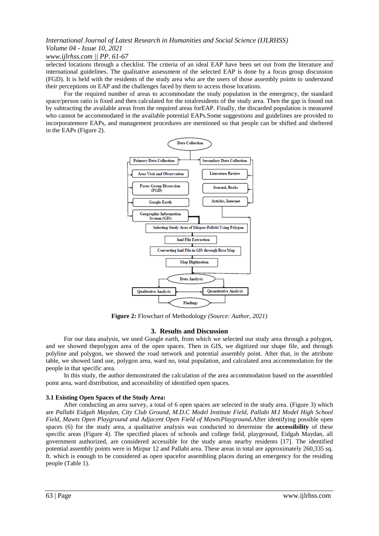# *International Journal of Latest Research in Humanities and Social Science (IJLRHSS) Volume 04 - Issue 10, 2021*

## *www.ijlrhss.com || PP. 61-67*

selected locations through a checklist. The criteria of an ideal EAP have been set out from the literature and international guidelines. The qualitative assessment of the selected EAP is done by a focus group discussion (FGD). It is held with the residents of the study area who are the users of those assembly points to understand their perceptions on EAP and the challenges faced by them to access those locations.

For the required number of areas to accommodate the study population in the emergency, the standard space/person ratio is fixed and then calculated for the totalresidents of the study area. Then the gap is found out by subtracting the available areas from the required areas forEAP. Finally, the discarded population is measured who cannot be accommodated in the available potential EAPs.Some suggestions and guidelines are provided to incorporatemore EAPs, and management procedures are mentioned so that people can be shifted and sheltered in the EAPs (Figure 2).



**Figure 2:** Flowchart of Methodology *(Source: Author, 2021)*

#### **3. Results and Discussion**

For our data analysis, we used Google earth, from which we selected our study area through a polygon, and we showed thepolygon area of the open spaces. Then in GIS, we digitized our shape file, and through polyline and polygon, we showed the road network and potential assembly point. After that, in the attribute table, we showed land use, polygon area, ward no, total population, and calculated area accommodation for the people in that specific area.

In this study, the author demonstrated the calculation of the area accommodation based on the assembled point area, ward distribution, and accessibility of identified open spaces.

#### **3.1 Existing Open Spaces of the Study Area:**

After conducting an area survey, a total of 6 open spaces are selected in the study area. (Figure 3) which are *Pallabi Eidgah Maydan, City Club Ground, M.D.C Model Institute Field, Pallabi M.I Model High School Field, Mawts Open Playground and Adjacent Open Field of MawtsPlayground***.**After identifying possible open spaces (6) for the study area, a qualitative analysis was conducted to determine the **accessibility** of these specific areas (Figure 4). The specified places of schools and college field, playground, Eidgah Maydan, all government authorized, are considered accessible for the study areas nearby residents [17]. The identified potential assembly points were in Mirpur 12 and Pallabi area. These areas in total are approximately 260,335 sq. ft. which is enough to be considered as open spacefor assembling places during an emergency for the residing people (Table 1).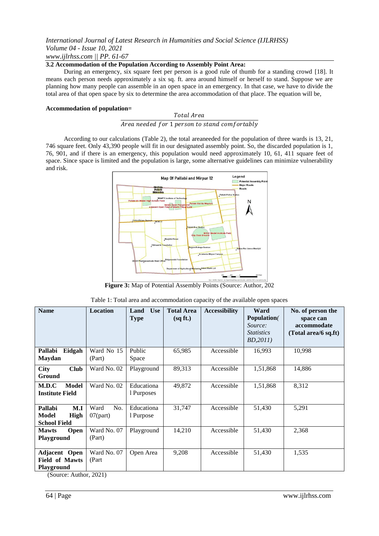## *International Journal of Latest Research in Humanities and Social Science (IJLRHSS) Volume 04 - Issue 10, 2021 www.ijlrhss.com || PP. 61-67*

#### **3.2 Accommodation of the Population According to Assembly Point Area:**

During an emergency, six square feet per person is a good rule of thumb for a standing crowd [18]. It means each person needs approximately a six sq. ft. area around himself or herself to stand. Suppose we are planning how many people can assemble in an open space in an emergency. In that case, we have to divide the total area of that open space by six to determine the area accommodation of that place. The equation will be,

#### **Accommodation of population=**

#### Total Area

Area needed for 1 person to stand comfortably

According to our calculations (Table 2), the total areaneeded for the population of three wards is 13, 21, 746 square feet. Only 43,390 people will fit in our designated assembly point. So, the discarded population is 1, 76, 901, and if there is an emergency, this population would need approximately 10, 61, 411 square feet of space. Since space is limited and the population is large, some alternative guidelines can minimize vulnerability and risk.



**Figure 3:** Map of Potential Assembly Points (Source: Author, 202

| <b>Name</b>                                                   | <b>Location</b>            | <b>Use</b><br>Land<br><b>Type</b> | <b>Total Area</b><br>(sqft.) | <b>Accessibility</b> | Ward<br><b>Population</b><br>Source:<br><i>Statistics</i><br>BD,2011) | No. of person the<br>space can<br>accommodate<br>(Total area/6 sq.ft) |
|---------------------------------------------------------------|----------------------------|-----------------------------------|------------------------------|----------------------|-----------------------------------------------------------------------|-----------------------------------------------------------------------|
| Pallabi<br>Eidgah<br><b>Maydan</b>                            | Ward No 15<br>(Part)       | Public<br>Space                   | 65,985                       | Accessible           | 16,993                                                                | 10,998                                                                |
| <b>Club</b><br><b>City</b><br>Ground                          | Ward No. 02                | Playground                        | 89,313                       | Accessible           | 1,51,868                                                              | 14,886                                                                |
| Model<br>M.D.C<br><b>Institute Field</b>                      | Ward No. 02                | Educationa<br>1 Purposes          | 49,872                       | Accessible           | 1,51,868                                                              | 8,312                                                                 |
| M.I<br>Pallabi<br><b>Model</b><br>High<br><b>School Field</b> | Ward<br>No.<br>$07$ (part) | Educationa<br>1 Purpose           | 31,747                       | Accessible           | 51,430                                                                | 5,291                                                                 |
| <b>Mawts</b><br><b>Open</b><br>Playground                     | Ward No. 07<br>(Part)      | Playground                        | 14,210                       | Accessible           | 51,430                                                                | 2,368                                                                 |
| Adjacent Open<br><b>Field of Mawts</b><br><b>Playground</b>   | Ward No. 07<br>(Part)      | Open Area                         | 9,208                        | Accessible           | 51,430                                                                | 1,535                                                                 |

| Table 1: Total area and accommodation capacity of the available open spaces |  |  |
|-----------------------------------------------------------------------------|--|--|
|-----------------------------------------------------------------------------|--|--|

(Source: Author, 2021)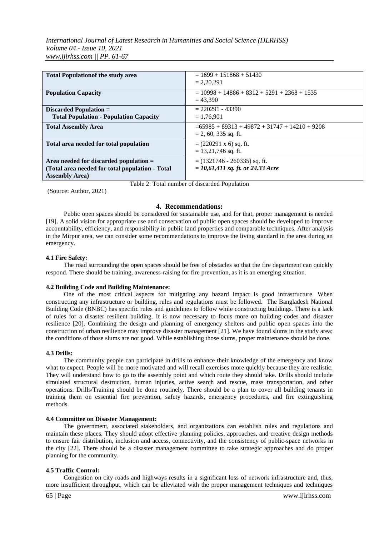| <b>Total Population of the study area</b>                                                                             | $= 1699 + 151868 + 51430$<br>$= 2,20,291$                                  |
|-----------------------------------------------------------------------------------------------------------------------|----------------------------------------------------------------------------|
| <b>Population Capacity</b>                                                                                            | $= 10998 + 14886 + 8312 + 5291 + 2368 + 1535$<br>$= 43.390$                |
| Discarded Population $=$<br><b>Total Population - Population Capacity</b>                                             | $= 220291 - 43390$<br>$= 1,76,901$                                         |
| <b>Total Assembly Area</b>                                                                                            | $= 65985 + 89313 + 49872 + 31747 + 14210 + 9208$<br>$= 2, 60, 335$ sq. ft. |
| Total area needed for total population                                                                                | $= (220291 \times 6)$ sq. ft.<br>$= 13,21,746$ sq. ft.                     |
| Area needed for discarded population $=$<br>(Total area needed for total population - Total<br><b>Assembly Area</b> ) | $=$ (1321746 - 260335) sq. ft.<br>$= 10, 61, 411$ sq. ft. or 24.33 Acre    |

(Source: Author, 2021)

Table 2: Total number of discarded Population

#### **4. Recommendations:**

Public open spaces should be considered for sustainable use, and for that, proper management is needed [19]. A solid vision for appropriate use and conservation of public open spaces should be developed to improve accountability, efficiency, and responsibility in public land properties and comparable techniques. After analysis in the Mirpur area, we can consider some recommendations to improve the living standard in the area during an emergency.

#### **4.1 Fire Safety:**

The road surrounding the open spaces should be free of obstacles so that the fire department can quickly respond. There should be training, awareness-raising for fire prevention, as it is an emerging situation.

#### **4.2 Building Code and Building Maintenance:**

One of the most critical aspects for mitigating any hazard impact is good infrastructure. When constructing any infrastructure or building, rules and regulations must be followed. The Bangladesh National Building Code (BNBC) has specific rules and guidelines to follow while constructing buildings. There is a lack of rules for a disaster resilient building. It is now necessary to focus more on building codes and disaster resilience [20]. Combining the design and planning of emergency shelters and public open spaces into the construction of urban resilience may improve disaster management [21]. We have found slums in the study area; the conditions of those slums are not good. While establishing those slums, proper maintenance should be done.

#### **4.3 Drills:**

The community people can participate in drills to enhance their knowledge of the emergency and know what to expect. People will be more motivated and will recall exercises more quickly because they are realistic. They will understand how to go to the assembly point and which route they should take. Drills should include simulated structural destruction, human injuries, active search and rescue, mass transportation, and other operations. Drills/Training should be done routinely. There should be a plan to cover all building tenants in training them on essential fire prevention, safety hazards, emergency procedures, and fire extinguishing methods.

#### **4.4 Committee on Disaster Management:**

The government, associated stakeholders, and organizations can establish rules and regulations and maintain these places. They should adopt effective planning policies, approaches, and creative design methods to ensure fair distribution, inclusion and access, connectivity, and the consistency of public-space networks in the city [22]. There should be a disaster management committee to take strategic approaches and do proper planning for the community.

#### **4.5 Traffic Control:**

Congestion on city roads and highways results in a significant loss of network infrastructure and, thus, more insufficient throughput, which can be alleviated with the proper management techniques and techniques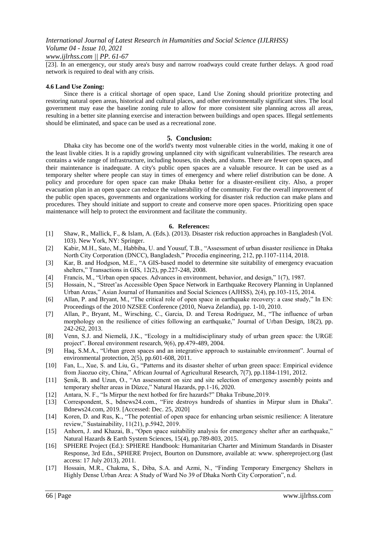## *www.ijlrhss.com || PP. 61-67*

[23]. In an emergency, our study area's busy and narrow roadways could create further delays. A good road network is required to deal with any crisis.

#### **4.6 Land Use Zoning:**

Since there is a critical shortage of open space, Land Use Zoning should prioritize protecting and restoring natural open areas, historical and cultural places, and other environmentally significant sites. The local government may ease the baseline zoning rule to allow for more consistent site planning across all areas, resulting in a better site planning exercise and interaction between buildings and open spaces. Illegal settlements should be eliminated, and space can be used as a recreational zone.

#### **5. Conclusion:**

Dhaka city has become one of the world's twenty most vulnerable cities in the world, making it one of the least livable cities. It is a rapidly growing unplanned city with significant vulnerabilities. The research area contains a wide range of infrastructure, including houses, tin sheds, and slums. There are fewer open spaces, and their maintenance is inadequate. A city's public open spaces are a valuable resource. It can be used as a temporary shelter where people can stay in times of emergency and where relief distribution can be done. A policy and procedure for open space can make Dhaka better for a disaster-resilient city. Also, a proper evacuation plan in an open space can reduce the vulnerability of the community. For the overall improvement of the public open spaces, governments and organizations working for disaster risk reduction can make plans and procedures. They should initiate and support to create and conserve more open spaces. Prioritizing open space maintenance will help to protect the environment and facilitate the community.

#### **6. References:**

- [1] Shaw, R., Mallick, F., & Islam, A. (Eds.). (2013). Disaster risk reduction approaches in Bangladesh (Vol. 103). New York, NY: Springer.
- [2] Kabir, M.H., Sato, M., Habbiba, U. and Yousuf, T.B., "Assessment of urban disaster resilience in Dhaka North City Corporation (DNCC), Bangladesh," Procedia engineering, 212, pp.1107-1114, 2018.
- [3] Kar, B. and Hodgson, M.E., "A GIS‐based model to determine site suitability of emergency evacuation shelters," Transactions in GIS, 12(2), pp.227-248, 2008.
- [4] Francis, M., "Urban open spaces. Advances in environment, behavior, and design," 1(7), 1987.
- [5] Hossain, N., "Street'as Accessible Open Space Network in Earthquake Recovery Planning in Unplanned Urban Areas," Asian Journal of Humanities and Social Sciences (AJHSS), 2(4), pp.103-115, 2014.
- [6] Allan, P. and Bryant, M., "The critical role of open space in earthquake recovery: a case study," In EN: Proceedings of the 2010 NZSEE Conference (2010, Nueva Zelandia), pp. 1-10, 2010.
- [7] Allan, P., Bryant, M., Wirsching, C., Garcia, D. and Teresa Rodriguez, M., "The influence of urban morphology on the resilience of cities following an earthquake," Journal of Urban Design, 18(2), pp. 242-262, 2013.
- [8] Venn, S.J. and Niemelä, J.K., "Ecology in a multidisciplinary study of urban green space: the URGE project". Boreal environment research, 9(6), pp.479-489, 2004.
- [9] Haq, S.M.A., "Urban green spaces and an integrative approach to sustainable environment". Journal of environmental protection, 2(5), pp.601-608, 2011.
- [10] Fan, L., Xue, S. and Liu, G., "Patterns and its disaster shelter of urban green space: Empirical evidence from Jiaozuo city, China," African Journal of Agricultural Research, 7(7), pp.1184-1191, 2012.
- [11] Şenik, B. and Uzun, O., "An assessment on size and site selection of emergency assembly points and temporary shelter areas in Düzce," Natural Hazards, pp.1-16, 2020.
- [12] Antara, N. F., "Is Mirpur the next hotbed for fire hazards?" Dhaka Tribune,2019.
- [13] Correspondent, S., bdnews24.com., "Fire destroys hundreds of shanties in Mirpur slum in Dhaka". Bdnews24.com, 2019. [Accessed: Dec. 25, 2020]
- [14] Koren, D. and Rus, K., "The potential of open space for enhancing urban seismic resilience: A literature review," Sustainability, 11(21), p.5942, 2019.
- [15] Anhorn, J. and Khazai, B., "Open space suitability analysis for emergency shelter after an earthquake," Natural Hazards & Earth System Sciences, 15(4), pp.789-803, 2015.
- [16] SPHERE Project (Ed.): SPHERE Handbook: Humanitarian Charter and Minimum Standards in Disaster Response, 3rd Edn., SPHERE Project, Bourton on Dunsmore, available at: www. sphereproject.org (last access: 17 July 2013), 2011.
- [17] Hossain, M.R., Chakma, S., Diba, S.A. and Azmi, N., "Finding Temporary Emergency Shelters in Highly Dense Urban Area: A Study of Ward No 39 of Dhaka North City Corporation", n.d.